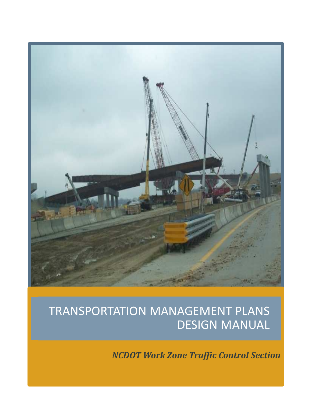

# TRANSPORTATION MANAGEMENT PLANS DESIGN MANUAL

**NCDOT** Work Zone Traffic Control Section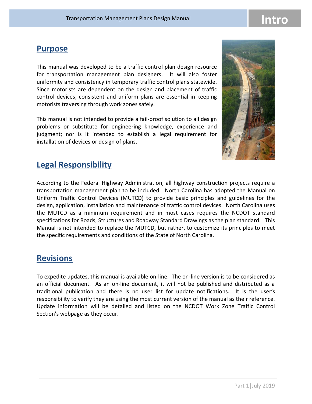#### **Purpose**

This manual was developed to be a traffic control plan design resource for transportation management plan designers. It will also foster uniformity and consistency in temporary traffic control plans statewide. Since motorists are dependent on the design and placement of traffic control devices, consistent and uniform plans are essential in keeping motorists traversing through work zones safely.

This manual is not intended to provide a fail-proof solution to all design problems or substitute for engineering knowledge, experience and judgment; nor is it intended to establish a legal requirement for installation of devices or design of plans.



### Legal Responsibility

According to the Federal Highway Administration, all highway construction projects require a transportation management plan to be included. North Carolina has adopted the Manual on Uniform Traffic Control Devices (MUTCD) to provide basic principles and guidelines for the design, application, installation and maintenance of traffic control devices. North Carolina uses the MUTCD as a minimum requirement and in most cases requires the NCDOT standard specifications for Roads, Structures and Roadway Standard Drawings as the plan standard. This Manual is not intended to replace the MUTCD, but rather, to customize its principles to meet the specific requirements and conditions of the State of North Carolina.

### **Revisions**

To expedite updates, this manual is available on-line. The on-line version is to be considered as an official document. As an on-line document, it will not be published and distributed as a traditional publication and there is no user list for update notifications. It is the user's responsibility to verify they are using the most current version of the manual as their reference. Update information will be detailed and listed on the NCDOT Work Zone Traffic Control Section's webpage as they occur.